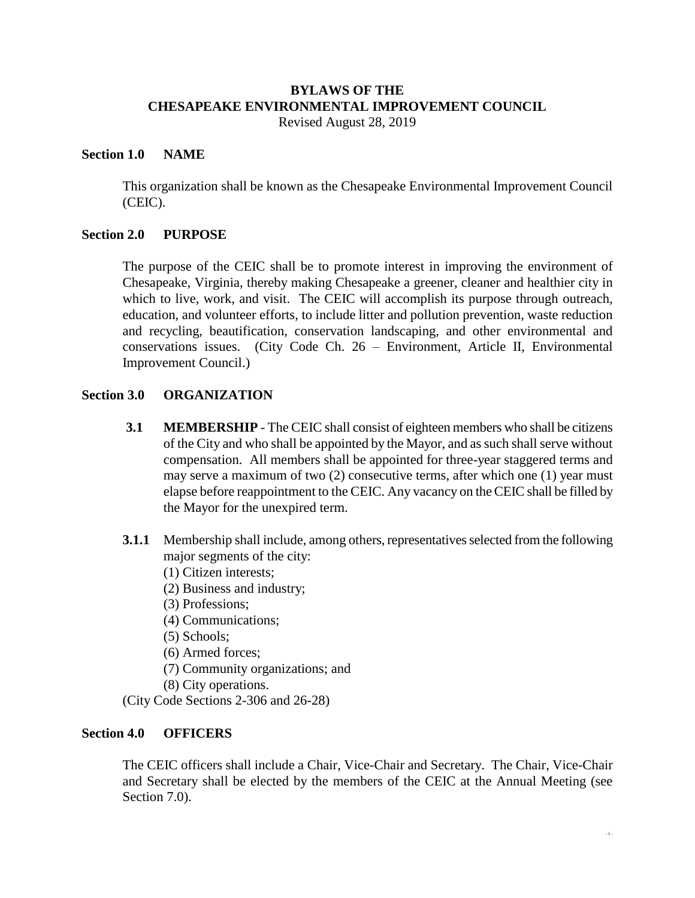# **BYLAWS OF THE CHESAPEAKE ENVIRONMENTAL IMPROVEMENT COUNCIL**

Revised August 28, 2019

#### **Section 1.0 NAME**

This organization shall be known as the Chesapeake Environmental Improvement Council (CEIC).

## **Section 2.0 PURPOSE**

The purpose of the CEIC shall be to promote interest in improving the environment of Chesapeake, Virginia, thereby making Chesapeake a greener, cleaner and healthier city in which to live, work, and visit. The CEIC will accomplish its purpose through outreach, education, and volunteer efforts, to include litter and pollution prevention, waste reduction and recycling, beautification, conservation landscaping, and other environmental and conservations issues. (City Code Ch. 26 – Environment, Article II, Environmental Improvement Council.)

## **Section 3.0 ORGANIZATION**

- **3.1 MEMBERSHIP** The CEIC shall consist of eighteen members who shall be citizens of the City and who shall be appointed by the Mayor, and as such shall serve without compensation. All members shall be appointed for three-year staggered terms and may serve a maximum of two (2) consecutive terms, after which one (1) year must elapse before reappointment to the CEIC. Any vacancy on the CEIC shall be filled by the Mayor for the unexpired term.
- **3.1.1** Membership shall include, among others, representatives selected from the following major segments of the city:
	- (1) Citizen interests;
	- (2) Business and industry;
	- (3) Professions;
	- (4) Communications;
	- (5) Schools;
	- (6) Armed forces;
	- (7) Community organizations; and
	- (8) City operations.

(City Code Sections 2-306 and 26-28)

## **Section 4.0 OFFICERS**

The CEIC officers shall include a Chair, Vice-Chair and Secretary. The Chair, Vice-Chair and Secretary shall be elected by the members of the CEIC at the Annual Meeting (see Section 7.0).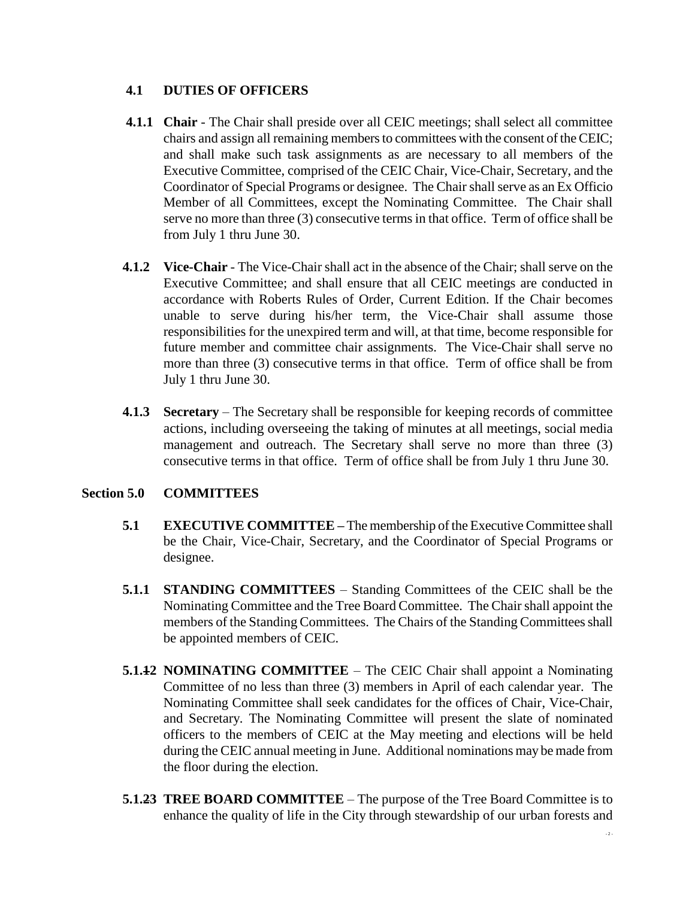## **4.1 DUTIES OF OFFICERS**

- **4.1.1 Chair** The Chair shall preside over all CEIC meetings; shall select all committee chairs and assign all remaining members to committees with the consent of the CEIC; and shall make such task assignments as are necessary to all members of the Executive Committee, comprised of the CEIC Chair, Vice-Chair, Secretary, and the Coordinator of Special Programs or designee. The Chair shall serve as an Ex Officio Member of all Committees, except the Nominating Committee. The Chair shall serve no more than three (3) consecutive terms in that office. Term of office shall be from July 1 thru June 30.
- **4.1.2 Vice-Chair** The Vice-Chair shall act in the absence of the Chair; shall serve on the Executive Committee; and shall ensure that all CEIC meetings are conducted in accordance with Roberts Rules of Order, Current Edition. If the Chair becomes unable to serve during his/her term, the Vice-Chair shall assume those responsibilities for the unexpired term and will, at that time, become responsible for future member and committee chair assignments. The Vice-Chair shall serve no more than three (3) consecutive terms in that office. Term of office shall be from July 1 thru June 30.
- **4.1.3 Secretary** The Secretary shall be responsible for keeping records of committee actions, including overseeing the taking of minutes at all meetings, social media management and outreach. The Secretary shall serve no more than three (3) consecutive terms in that office. Term of office shall be from July 1 thru June 30.

## **Section 5.0 COMMITTEES**

- **5.1 EXECUTIVE COMMITTEE –** The membership of the Executive Committee shall be the Chair, Vice-Chair, Secretary, and the Coordinator of Special Programs or designee.
- **5.1.1 STANDING COMMITTEES** Standing Committees of the CEIC shall be the Nominating Committee and the Tree Board Committee. The Chair shall appoint the members of the Standing Committees. The Chairs of the Standing Committees shall be appointed members of CEIC.
- **5.1.12 NOMINATING COMMITTEE** The CEIC Chair shall appoint a Nominating Committee of no less than three (3) members in April of each calendar year. The Nominating Committee shall seek candidates for the offices of Chair, Vice-Chair, and Secretary. The Nominating Committee will present the slate of nominated officers to the members of CEIC at the May meeting and elections will be held during the CEIC annual meeting in June. Additional nominations may be made from the floor during the election.
- **5.1.23 TREE BOARD COMMITTEE** The purpose of the Tree Board Committee is to enhance the quality of life in the City through stewardship of our urban forests and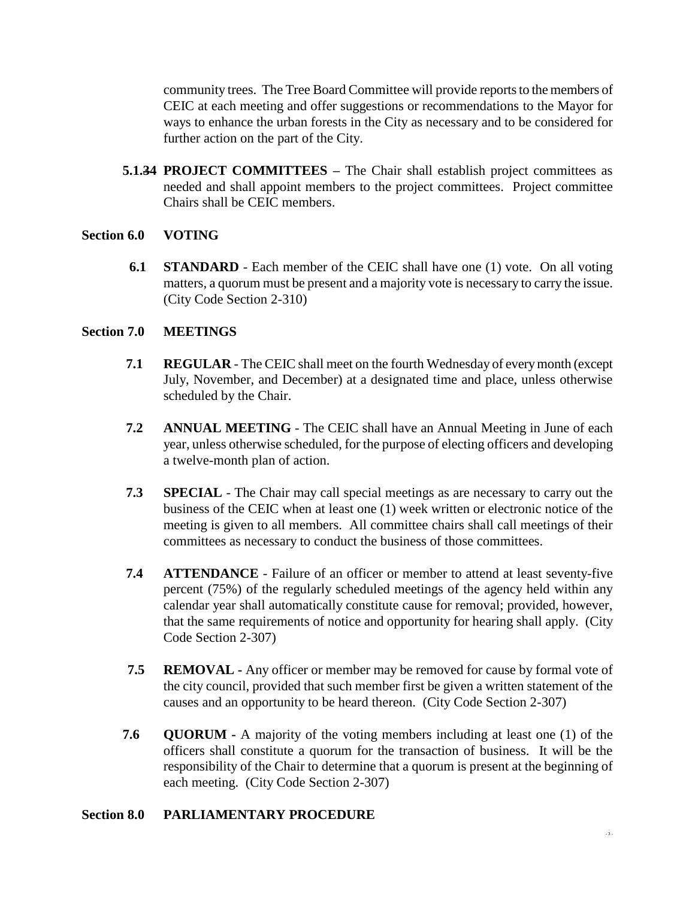community trees. The Tree Board Committee will provide reports to the members of CEIC at each meeting and offer suggestions or recommendations to the Mayor for ways to enhance the urban forests in the City as necessary and to be considered for further action on the part of the City.

**5.1.34 PROJECT COMMITTEES –** The Chair shall establish project committees as needed and shall appoint members to the project committees. Project committee Chairs shall be CEIC members.

#### **Section 6.0 VOTING**

**6.1 STANDARD** - Each member of the CEIC shall have one (1) vote. On all voting matters, a quorum must be present and a majority vote is necessary to carry the issue. (City Code Section 2-310)

#### **Section 7.0 MEETINGS**

- **7.1 REGULAR** The CEIC shall meet on the fourth Wednesday of every month (except July, November, and December) at a designated time and place, unless otherwise scheduled by the Chair.
- **7.2 ANNUAL MEETING** The CEIC shall have an Annual Meeting in June of each year, unless otherwise scheduled, for the purpose of electing officers and developing a twelve-month plan of action.
- **7.3 SPECIAL** The Chair may call special meetings as are necessary to carry out the business of the CEIC when at least one (1) week written or electronic notice of the meeting is given to all members. All committee chairs shall call meetings of their committees as necessary to conduct the business of those committees.
- **7.4 ATTENDANCE** Failure of an officer or member to attend at least seventy-five percent (75%) of the regularly scheduled meetings of the agency held within any calendar year shall automatically constitute cause for removal; provided, however, that the same requirements of notice and opportunity for hearing shall apply. (City Code Section 2-307)
- **7.5 REMOVAL -** Any officer or member may be removed for cause by formal vote of the city council, provided that such member first be given a written statement of the causes and an opportunity to be heard thereon. (City Code Section 2-307)
- **7.6 QUORUM -** A majority of the voting members including at least one (1) of the officers shall constitute a quorum for the transaction of business. It will be the responsibility of the Chair to determine that a quorum is present at the beginning of each meeting. (City Code Section 2-307)

## **Section 8.0 PARLIAMENTARY PROCEDURE**